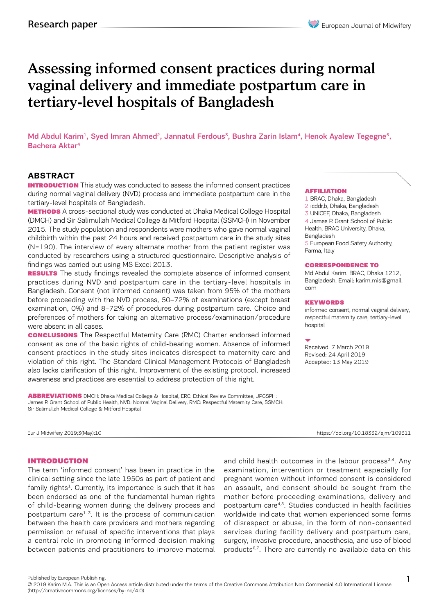# Assessing informed consent practices during normal vaginal delivery and immediate postpartum care in tertiary-level hospitals of Bangladesh

Md Abdul Karim<sup>1</sup>, Syed Imran Ahmed<sup>2</sup>, Jannatul Ferdous<sup>3</sup>, Bushra Zarin Islam<sup>4</sup>, Henok Ayalew Tegegne<sup>5</sup>, Bachera Aktar4

## **ABSTRACT**

**INTRODUCTION** This study was conducted to assess the informed consent practices during normal vaginal delivery (NVD) process and immediate postpartum care in the tertiary-level hospitals of Bangladesh.

**METHODS** A cross-sectional study was conducted at Dhaka Medical College Hospital (DMCH) and Sir Salimullah Medical College & Mitford Hospital (SSMCH) in November 2015. The study population and respondents were mothers who gave normal vaginal childbirth within the past 24 hours and received postpartum care in the study sites (N=190). The interview of every alternate mother from the patient register was conducted by researchers using a structured questionnaire. Descriptive analysis of findings was carried out using MS Excel 2013.

**RESULTS** The study findings revealed the complete absence of informed consent practices during NVD and postpartum care in the tertiary-level hospitals in Bangladesh. Consent (not informed consent) was taken from 95% of the mothers before proceeding with the NVD process, 50–72% of examinations (except breast examination, 0%) and 8–72% of procedures during postpartum care. Choice and preferences of mothers for taking an alternative process/examination/procedure were absent in all cases.

**CONCLUSIONS** The Respectful Maternity Care (RMC) Charter endorsed informed consent as one of the basic rights of child-bearing women. Absence of informed consent practices in the study sites indicates disrespect to maternity care and violation of this right. The Standard Clinical Management Protocols of Bangladesh also lacks clarification of this right. Improvement of the existing protocol, increased awareness and practices are essential to address protection of this right.

ABBREVIATIONS DMCH: Dhaka Medical College & Hospital, ERC: Ethical Review Committee, JPGSPH: James P. Grant School of Public Health, NVD: Normal Vaginal Delivery, RMC: Respectful Maternity Care, SSMCH: Sir Salimullah Medical College & Mitford Hospital

#### Eur J Midwifery 2019;3(May):10 https://doi.org/10.18332/ejm/109311

### INTRODUCTION

The term 'informed consent' has been in practice in the clinical setting since the late 1950s as part of patient and family rights<sup>1</sup>. Currently, its importance is such that it has been endorsed as one of the fundamental human rights of child-bearing women during the delivery process and postpartum care $1-3$ . It is the process of communication between the health care providers and mothers regarding permission or refusal of specific interventions that plays a central role in promoting informed decision making between patients and practitioners to improve maternal and child health outcomes in the labour process $3,4$ . Any examination, intervention or treatment especially for pregnant women without informed consent is considered an assault, and consent should be sought from the mother before proceeding examinations, delivery and postpartum care4,5. Studies conducted in health facilities worldwide indicate that women experienced some forms of disrespect or abuse, in the form of non-consented services during facility delivery and postpartum care, surgery, invasive procedure, anaesthesia, and use of blood products<sup>6,7</sup>. There are currently no available data on this

#### AFFILIATION

1 BRAC, Dhaka, Bangladesh 2 icddr,b, Dhaka, Bangladesh

3 UNICEF, Dhaka, Bangladesh

4 James P. Grant School of Public Health, BRAC University, Dhaka,

Bangladesh

5 European Food Safety Authority, Parma, Italy

#### CORRESPONDENCE TO

Md Abdul Karim. BRAC, Dhaka 1212, Bangladesh. Email: karim.mis@gmail. com

#### **KEYWORDS**

informed consent, normal vaginal delivery, respectful maternity care, tertiary-level hospital

Received: 7 March 2019 Revised: 24 April 2019 Accepted: 13 May 2019

Published by European Publishing.

<sup>© 2019</sup> Karim M.A. This is an Open Access article distributed under the terms of the Creative Commons Attribution Non Commercial 4.0 International License. (http://creativecommons.org/licenses/by-nc/4.0)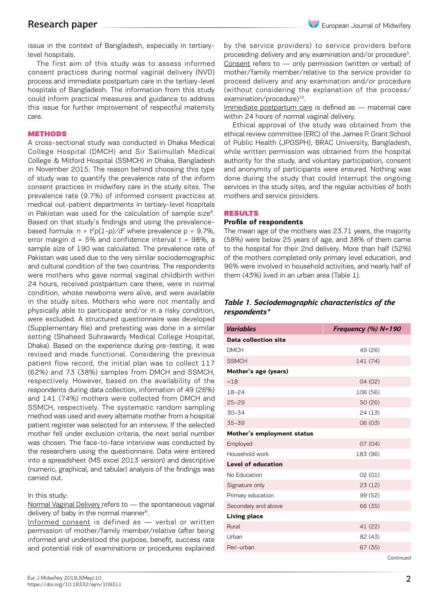issue in the context of Bangladesh, especially in tertiarylevel hospitals.

The first aim of this study was to assess informed consent practices during normal vaginal delivery (NVD) process and immediate postpartum care in the tertiary-level hospitals of Bangladesh. The information from this study could inform practical measures and guidance to address this issue for further improvement of respectful maternity care.

#### **METHODS**

A cross-sectional study was conducted in Dhaka Medical College Hospital (DMCH) and Sir Salimullah Medical College & Mitford Hospital (SSMCH) in Dhaka, Bangladesh in November 2015. The reason behind choosing this type of study was to quantify the prevalence rate of the inform consent practices in midwifery care in the study sites. The prevalence rate (9.7%) of informed consent practices at medical out-patient departments in tertiary-level hospitals in Pakistan was used for the calculation of sample size<sup>8</sup>. Based on that study's findings and using the prevalencebased formula:  $n = t^2 p(1-p)/d^2$  where prevalence  $p = 9.7\%$ , error margin  $d = 5%$  and confidence interval  $t = 98%$ , a sample size of 190 was calculated. The prevalence rate of Pakistan was used due to the very similar sociodemographic and cultural condition of the two countries. The respondents were mothers who gave normal vaginal childbirth within 24 hours, received postpartum care there, were in normal condition, whose newborns were alive, and were available in the study sites. Mothers who were not mentally and physically able to participate and/or in a risky condition, were excluded. A structured questionnaire was developed (Supplementary file) and pretesting was done in a similar setting (Shaheed Suhrawardy Medical College Hospital, Dhaka). Based on the experience during pre-testing, it was revised and made functional. Considering the previous patient flow record, the initial plan was to collect 117 (62%) and 73 (38%) samples from DMCH and SSMCH, respectively. However, based on the availability of the respondents during data collection, information of 49 (26%) and 141 (74%) mothers were collected from DMCH and SSMCH, respectively. The systematic random sampling method was used and every alternate mother from a hospital patient register was selected for an interview. If the selected mother fell under exclusion criteria, the next serial number was chosen. The face-to-face interview was conducted by the researchers using the questionnaire. Data were entered into a spreadsheet (MS excel 2013 version) and descriptive (numeric, graphical, and tabular) analysis of the findings was carried out.

#### In this study:

Normal Vaginal Delivery refers to — the spontaneous vaginal delivery of baby in the normal manner<sup>9</sup>.

Informed consent is defined as — verbal or written permission of mother/family member/relative (after being informed and understood the purpose, benefit, success rate and potential risk of examinations or procedures explained by the service providers) to service providers before proceeding delivery and any examination and/or procedure<sup>5</sup>. Consent refers to — only permission (written or verbal) of mother/family member/relative to the service provider to proceed delivery and any examination and/or procedure (without considering the explanation of the process/ examination/procedure)<sup>10</sup>.

Immediate postpartum care is defined as — maternal care within 24 hours of normal vaginal delivery.

Ethical approval of the study was obtained from the ethical review committee (ERC) of the James P. Grant School of Public Health (JPGSPH), BRAC University, Bangladesh, while written permission was obtained from the hospital authority for the study, and voluntary participation, consent and anonymity of participants were ensured. Nothing was done during the study that could interrupt the ongoing services in the study sites, and the regular activities of both mothers and service providers.

#### RESULTS

#### **Profile of respondents**

The mean age of the mothers was 23.71 years, the majority (58%) were below 25 years of age, and 38% of them came to the hospital for their 2nd delivery. More than half (52%) of the mothers completed only primary level education, and 96% were involved in household activities, and nearly half of them (43%) lived in an urban area (Table 1).

#### *Table 1. Sociodemographic characteristics of the respondents\**

| <b>Variables</b>           | Frequency (%) N=190 |
|----------------------------|---------------------|
| Data collection site       |                     |
| <b>DMCH</b>                | 49 (26)             |
| <b>SSMCH</b>               | 141 (74)            |
| Mother's age (years)       |                     |
| < 18                       | 04(02)              |
| $18 - 24$                  | 106 (56)            |
| $25 - 29$                  | 50 (26)             |
| $30 - 34$                  | 24 (13)             |
| $35 - 39$                  | 06 (03)             |
| Mother's employment status |                     |
| Employed                   | 07(04)              |
| Household work             | 183 (96)            |
| <b>Level of education</b>  |                     |
| No Education               | 02(01)              |
| Signature only             | 23(12)              |
| Primary education          | 99 (52)             |
| Secondary and above        | 66 (35)             |
| <b>Living place</b>        |                     |
| Rural                      | 41 (22)             |
| Urban                      | 82 (43)             |
| Peri-urban                 | 67(35)              |
|                            | Continued           |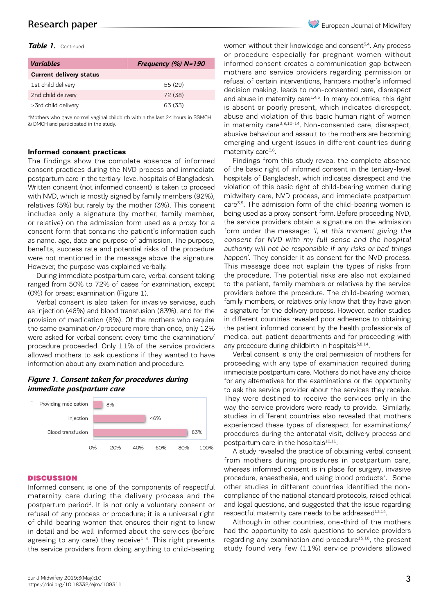# Research paper

#### *Table 1.* Continued

| <b>Variables</b>               | Frequency $(\%)$ N=190 |
|--------------------------------|------------------------|
| <b>Current delivery status</b> |                        |
| 1st child delivery             | 55 (29)                |
| 2nd child delivery             | 72 (38)                |
| $\geq$ 3rd child delivery      | 63 (33)                |

\*Mothers who gave normal vaginal childbirth within the last 24 hours in SSMCH & DMCH and participated in the study.

#### **Informed consent practices**

The findings show the complete absence of informed consent practices during the NVD process and immediate postpartum care in the tertiary-level hospitals of Bangladesh. Written consent (not informed consent) is taken to proceed with NVD, which is mostly signed by family members (92%), relatives (5%) but rarely by the mother (3%). This consent includes only a signature (by mother, family member, or relative) on the admission form used as a proxy for a consent form that contains the patient's information such as name, age, date and purpose of admission. The purpose, benefits, success rate and potential risks of the procedure were not mentioned in the message above the signature. However, the purpose was explained verbally.

During immediate postpartum care, verbal consent taking ranged from 50% to 72% of cases for examination, except (0%) for breast examination (Figure 1).

Verbal consent is also taken for invasive services, such as injection (46%) and blood transfusion (83%), and for the provision of medication (8%). Of the mothers who require the same examination/procedure more than once, only 12% were asked for verbal consent every time the examination/ procedure proceeded. Only 11% of the service providers allowed mothers to ask questions if they wanted to have information about any examination and procedure.

#### *Figure 1. Consent taken for procedures during immediate postpartum care*



#### **DISCUSSION**

Informed consent is one of the components of respectful maternity care during the delivery process and the postpartum period<sup>3</sup>. It is not only a voluntary consent or refusal of any process or procedure; it is a universal right of child-bearing women that ensures their right to know in detail and be well-informed about the services (before agreeing to any care) they receive $1-4$ . This right prevents the service providers from doing anything to child-bearing

women without their knowledge and consent<sup>3,4</sup>. Any process or procedure especially for pregnant women without informed consent creates a communication gap between mothers and service providers regarding permission or refusal of certain interventions, hampers mother's informed decision making, leads to non-consented care, disrespect and abuse in maternity care<sup>1,4,5</sup>. In many countries, this right is absent or poorly present, which indicates disrespect, abuse and violation of this basic human right of women in maternity care<sup>3,8,10-14</sup>. Non-consented care, disrespect, abusive behaviour and assault to the mothers are becoming emerging and urgent issues in different countries during maternity care<sup>3,6</sup>.

Findings from this study reveal the complete absence of the basic right of informed consent in the tertiary-level hospitals of Bangladesh, which indicates disrespect and the violation of this basic right of child-bearing women during midwifery care, NVD process, and immediate postpartum care<sup>3,5</sup>. The admission form of the child-bearing women is being used as a proxy consent form. Before proceeding NVD, the service providers obtain a signature on the admission form under the message: 'I, at this moment giving the consent for NVD with my full sense and the hospital authority will not be responsible if any risks or bad things happen'. They consider it as consent for the NVD process. This message does not explain the types of risks from the procedure. The potential risks are also not explained to the patient, family members or relatives by the service providers before the procedure. The child-bearing women, family members, or relatives only know that they have given a signature for the delivery process. However, earlier studies in different countries revealed poor adherence to obtaining the patient informed consent by the health professionals of medical out-patient departments and for proceeding with any procedure during childbirth in hospitals<sup>5,8,14</sup>.

Verbal consent is only the oral permission of mothers for proceeding with any type of examination required during immediate postpartum care. Mothers do not have any choice for any alternatives for the examinations or the opportunity to ask the service provider about the services they receive. They were destined to receive the services only in the way the service providers were ready to provide. Similarly, studies in different countries also revealed that mothers experienced these types of disrespect for examinations/ procedures during the antenatal visit, delivery process and postpartum care in the hospitals $10,11$ .

A study revealed the practice of obtaining verbal consent from mothers during procedures in postpartum care, whereas informed consent is in place for surgery, invasive procedure, anaesthesia, and using blood products<sup>7</sup>. Some other studies in different countries identified the noncompliance of the national standard protocols, raised ethical and legal questions, and suggested that the issue regarding respectful maternity care needs to be addressed<sup>13,14</sup>.

Although in other countries, one-third of the mothers had the opportunity to ask questions to service providers regarding any examination and procedure<sup>15,16</sup>, the present study found very few (11%) service providers allowed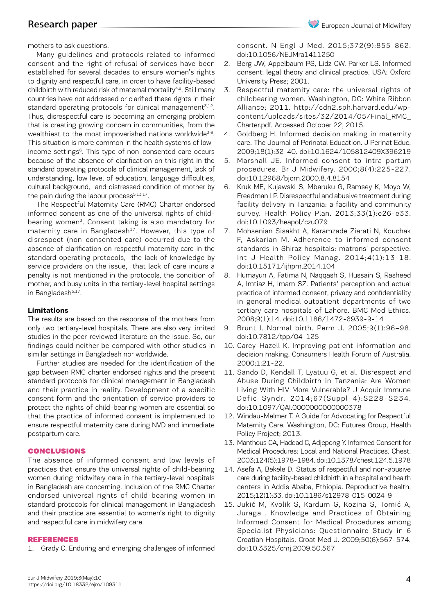# Research paper

mothers to ask questions.

Many guidelines and protocols related to informed consent and the right of refusal of services have been established for several decades to ensure women's rights to dignity and respectful care, in order to have facility-based childbirth with reduced risk of maternal mortality<sup>4,6</sup>. Still many countries have not addressed or clarified these rights in their standard operating protocols for clinical management $5,12$ . Thus, disrespectful care is becoming an emerging problem that is creating growing concern in communities, from the wealthiest to the most impoverished nations worldwide $3,6$ . This situation is more common in the health systems of lowincome settings<sup>6</sup>. This type of non-consented care occurs because of the absence of clarification on this right in the standard operating protocols of clinical management, lack of understanding, low level of education, language difficulties, cultural background, and distressed condition of mother by the pain during the labour process<sup>5,13,17</sup>.

The Respectful Maternity Care (RMC) Charter endorsed informed consent as one of the universal rights of childbearing women<sup>3</sup>. Consent taking is also mandatory for maternity care in Bangladesh<sup>17</sup>. However, this type of disrespect (non-consented care) occurred due to the absence of clarification on respectful maternity care in the standard operating protocols, the lack of knowledge by service providers on the issue, that lack of care incurs a penalty is not mentioned in the protocols, the condition of mother, and busy units in the tertiary-level hospital settings in Bangladesh<sup>5,17</sup>.

#### **Limitations**

The results are based on the response of the mothers from only two tertiary-level hospitals. There are also very limited studies in the peer-reviewed literature on the issue. So, our findings could neither be compared with other studies in similar settings in Bangladesh nor worldwide.

Further studies are needed for the identification of the gap between RMC charter endorsed rights and the present standard protocols for clinical management in Bangladesh and their practice in reality. Development of a specific consent form and the orientation of service providers to protect the rights of child-bearing women are essential so that the practice of informed consent is implemented to ensure respectful maternity care during NVD and immediate postpartum care.

#### CONCLUSIONS

The absence of informed consent and low levels of practices that ensure the universal rights of child-bearing women during midwifery care in the tertiary-level hospitals in Bangladesh are concerning. Inclusion of the RMC Charter endorsed universal rights of child-bearing women in standard protocols for clinical management in Bangladesh and their practice are essential to women's right to dignity and respectful care in midwifery care.

#### REFERENCES

1. Grady C. Enduring and emerging challenges of informed

consent. N Engl J Med. 2015;372(9):855-862. doi:10.1056/NEJMra1411250

- 2. Berg JW, Appelbaum PS, Lidz CW, Parker LS. Informed consent: legal theory and clinical practice. USA: Oxford University Press; 2001.
- 3. Respectful maternity care: the universal rights of childbearing women. Washington, DC: White Ribbon Alliance; 2011. http://cdn2.sph.harvard.edu/wpcontent/uploads/sites/32/2014/05/Final\_RMC\_ Charter.pdf. Accessed October 22, 2015.
- 4. Goldberg H. Informed decision making in maternity care. The Journal of Perinatal Education. J Perinat Educ. 2009;18(1):32-40. doi:10.1624/105812409X396219
- 5. Marshall JE. Informed consent to intra partum procedures. Br J Midwifery. 2000;8(4):225-227. doi:10.12968/bjom.2000.8.4.8154
- 6. Kruk ME, Kujawski S, Mbaruku G, Ramsey K, Moyo W, Freedman LP. Disrespectful and abusive treatment during facility delivery in Tanzania: a facility and community survey. Health Policy Plan. 2013;33(1):e26-e33. doi:10.1093/heapol/czu079
- 7. Mohsenian Sisakht A, Karamzade Ziarati N, Kouchak F, Askarian M. Adherence to informed consent standards in Shiraz hospitals: matrons' perspective. Int J Health Policy Manag. 2014;4(1):13-18. doi:10.15171/ijhpm.2014.104
- 8. Humayun A, Fatima N, Naqqash S, Hussain S, Rasheed A, Imtiaz H, Imam SZ. Patients' perception and actual practice of informed consent, privacy and confidentiality in general medical outpatient departments of two tertiary care hospitals of Lahore. BMC Med Ethics. 2008;9(1):14. doi:10.1186/1472-6939-9-14
- 9. Brunt I. Normal birth. Perm J. 2005;9(1):96–98. doi:10.7812/tpp/04-125
- 10. Carey-Hazell K. Improving patient information and decision making. Consumers Health Forum of Australia. 2000;1:21-22.
- 11. Sando D, Kendall T, Lyatuu G, et al. Disrespect and Abuse During Childbirth in Tanzania: Are Women Living With HIV More Vulnerable? J Acquir Immune Defic Syndr. 2014;67(Suppl 4):S228-S234. doi:10.1097/QAI.0000000000000378
- 12. Windau-Melmer T. A Guide for Advocating for Respectful Maternity Care. Washington, DC: Futures Group, Health Policy Project; 2013.
- 13. Manthous CA, Haddad C, Adjepong Y. Informed Consent for Medical Procedures: Local and National Practices. Chest. 2003;124(5):1978–1984. doi:10.1378/chest.124.5.1978
- 14. Asefa A, Bekele D. Status of respectful and non-abusive care during facility-based childbirth in a hospital and health centers in Addis Ababa, Ethiopia. Reproductive health. 2015;12(1):33. doi:10.1186/s12978-015-0024-9
- 15. Jukić M, Kvolik S, Kardum G, Kozina S, Tomić A, Juraga . Knowledge and Practices of Obtaining Informed Consent for Medical Procedures among Specialist Physicians: Questionnaire Study in 6 Croatian Hospitals. Croat Med J. 2009;50(6):567-574. doi:10.3325/cmj.2009.50.567